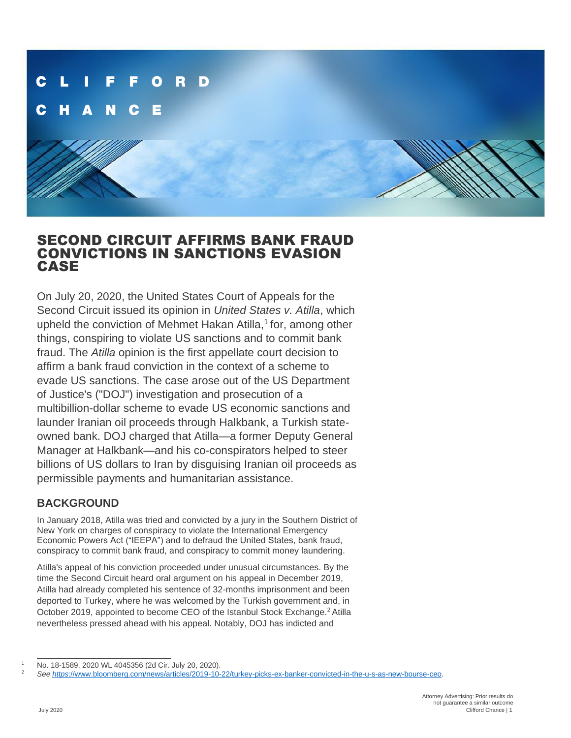

# SECOND CIRCUIT AFFIRMS BANK FRAUD CONVICTIONS IN SANCTIONS EVASION CASE

On July 20, 2020, the United States Court of Appeals for the Second Circuit issued its opinion in *United States v. Atilla*, which upheld the conviction of Mehmet Hakan Atilla,<sup>1</sup> for, among other things, conspiring to violate US sanctions and to commit bank fraud. The *Atilla* opinion is the first appellate court decision to affirm a bank fraud conviction in the context of a scheme to evade US sanctions. The case arose out of the US Department of Justice's ("DOJ") investigation and prosecution of a multibillion-dollar scheme to evade US economic sanctions and launder Iranian oil proceeds through Halkbank, a Turkish stateowned bank. DOJ charged that Atilla—a former Deputy General Manager at Halkbank—and his co-conspirators helped to steer billions of US dollars to Iran by disguising Iranian oil proceeds as permissible payments and humanitarian assistance.

# **BACKGROUND**

In January 2018, Atilla was tried and convicted by a jury in the Southern District of New York on charges of conspiracy to violate the International Emergency Economic Powers Act ("IEEPA") and to defraud the United States, bank fraud, conspiracy to commit bank fraud, and conspiracy to commit money laundering.

Atilla's appeal of his conviction proceeded under unusual circumstances. By the time the Second Circuit heard oral argument on his appeal in December 2019, Atilla had already completed his sentence of 32-months imprisonment and been deported to Turkey, where he was welcomed by the Turkish government and, in October 2019, appointed to become CEO of the Istanbul Stock Exchange.<sup>2</sup> Atilla nevertheless pressed ahead with his appeal. Notably, DOJ has indicted and

<sup>1</sup> No. 18-1589, 2020 WL 4045356 (2d Cir. July 20, 2020).

<sup>2</sup> *See https*[://www.bloomberg.com/news/articles/2019-10-22/turkey-picks-ex-banker-convicted-in-the-u-s-as-new-bourse-ceo.](https://www.bloomberg.com/news/articles/2019-10-22/turkey-picks-ex-banker-convicted-in-the-u-s-as-new-bourse-ceo)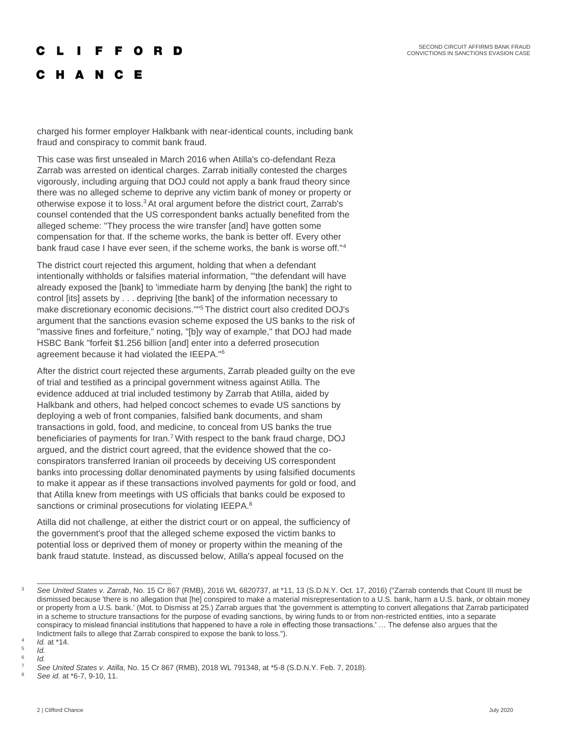#### $\mathbf{I}$ F F O R D

**HANCE** 

charged his former employer Halkbank with near-identical counts, including bank fraud and conspiracy to commit bank fraud.

This case was first unsealed in March 2016 when Atilla's co-defendant Reza Zarrab was arrested on identical charges. Zarrab initially contested the charges vigorously, including arguing that DOJ could not apply a bank fraud theory since there was no alleged scheme to deprive any victim bank of money or property or otherwise expose it to loss.<sup>3</sup> At oral argument before the district court, Zarrab's counsel contended that the US correspondent banks actually benefited from the alleged scheme: "They process the wire transfer [and] have gotten some compensation for that. If the scheme works, the bank is better off. Every other bank fraud case I have ever seen, if the scheme works, the bank is worse off."<sup>4</sup>

The district court rejected this argument, holding that when a defendant intentionally withholds or falsifies material information, "'the defendant will have already exposed the [bank] to 'immediate harm by denying [the bank] the right to control [its] assets by . . . depriving [the bank] of the information necessary to make discretionary economic decisions."<sup>15</sup> The district court also credited DOJ's argument that the sanctions evasion scheme exposed the US banks to the risk of "massive fines and forfeiture," noting, "[b]y way of example," that DOJ had made HSBC Bank "forfeit \$1.256 billion [and] enter into a deferred prosecution agreement because it had violated the IEEPA."<sup>6</sup>

After the district court rejected these arguments, Zarrab pleaded guilty on the eve of trial and testified as a principal government witness against Atilla. The evidence adduced at trial included testimony by Zarrab that Atilla, aided by Halkbank and others, had helped concoct schemes to evade US sanctions by deploying a web of front companies, falsified bank documents, and sham transactions in gold, food, and medicine, to conceal from US banks the true beneficiaries of payments for Iran.<sup>7</sup> With respect to the bank fraud charge, DOJ argued, and the district court agreed, that the evidence showed that the coconspirators transferred Iranian oil proceeds by deceiving US correspondent banks into processing dollar denominated payments by using falsified documents to make it appear as if these transactions involved payments for gold or food, and that Atilla knew from meetings with US officials that banks could be exposed to sanctions or criminal prosecutions for violating IEEPA.<sup>8</sup>

Atilla did not challenge, at either the district court or on appeal, the sufficiency of the government's proof that the alleged scheme exposed the victim banks to potential loss or deprived them of money or property within the meaning of the bank fraud statute. Instead, as discussed below, Atilla's appeal focused on the

*Id.* 6 *Id.*

<sup>8</sup> *See id.* at \*6-7, 9-10, 11.

<sup>3</sup> *See United States v. Zarrab*, No. 15 Cr 867 (RMB), 2016 WL 6820737, at \*11, 13 (S.D.N.Y. Oct. 17, 2016) ("Zarrab contends that Count III must be dismissed because 'there is no allegation that [he] conspired to make a material misrepresentation to a U.S. bank, harm a U.S. bank, or obtain money or property from a U.S. bank.' (Mot. to Dismiss at 25.) Zarrab argues that 'the government is attempting to convert allegations that Zarrab participated in a scheme to structure transactions for the purpose of evading sanctions, by wiring funds to or from non-restricted entities, into a separate conspiracy to mislead financial institutions that happened to have a role in effecting those transactions.' … The defense also argues that the Indictment fails to allege that Zarrab conspired to expose the bank to loss.").

<sup>4</sup> *Id.* at \*14. 5

<sup>7</sup> *See United States v. Atilla*, No. 15 Cr 867 (RMB), 2018 WL 791348, at \*5-8 (S.D.N.Y. Feb. 7, 2018).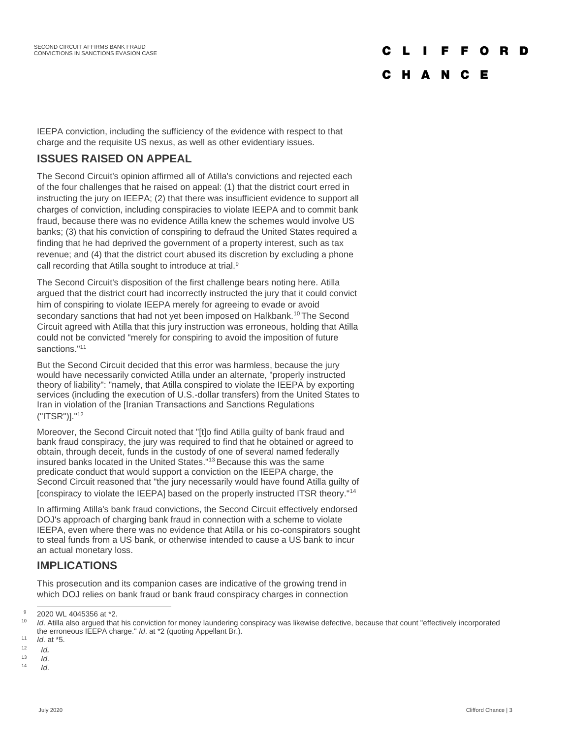#### $\mathbf{L}$ **Table** F F O P.

#### C H A N C E

IEEPA conviction, including the sufficiency of the evidence with respect to that charge and the requisite US nexus, as well as other evidentiary issues.

## **ISSUES RAISED ON APPEAL**

The Second Circuit's opinion affirmed all of Atilla's convictions and rejected each of the four challenges that he raised on appeal: (1) that the district court erred in instructing the jury on IEEPA; (2) that there was insufficient evidence to support all charges of conviction, including conspiracies to violate IEEPA and to commit bank fraud, because there was no evidence Atilla knew the schemes would involve US banks; (3) that his conviction of conspiring to defraud the United States required a finding that he had deprived the government of a property interest, such as tax revenue; and (4) that the district court abused its discretion by excluding a phone call recording that Atilla sought to introduce at trial.<sup>9</sup>

The Second Circuit's disposition of the first challenge bears noting here. Atilla argued that the district court had incorrectly instructed the jury that it could convict him of conspiring to violate IEEPA merely for agreeing to evade or avoid secondary sanctions that had not yet been imposed on Halkbank.<sup>10</sup> The Second Circuit agreed with Atilla that this jury instruction was erroneous, holding that Atilla could not be convicted "merely for conspiring to avoid the imposition of future sanctions."<sup>11</sup>

But the Second Circuit decided that this error was harmless, because the jury would have necessarily convicted Atilla under an alternate, "properly instructed theory of liability": "namely, that Atilla conspired to violate the IEEPA by exporting services (including the execution of U.S.-dollar transfers) from the United States to Iran in violation of the [Iranian Transactions and Sanctions Regulations ("ITSR")]."<sup>12</sup>

Moreover, the Second Circuit noted that "[t]o find Atilla guilty of bank fraud and bank fraud conspiracy, the jury was required to find that he obtained or agreed to obtain, through deceit, funds in the custody of one of several named federally insured banks located in the United States."<sup>13</sup> Because this was the same predicate conduct that would support a conviction on the IEEPA charge, the Second Circuit reasoned that "the jury necessarily would have found Atilla guilty of [conspiracy to violate the IEEPA] based on the properly instructed ITSR theory."<sup>14</sup>

In affirming Atilla's bank fraud convictions, the Second Circuit effectively endorsed DOJ's approach of charging bank fraud in connection with a scheme to violate IEEPA, even where there was no evidence that Atilla or his co-conspirators sought to steal funds from a US bank, or otherwise intended to cause a US bank to incur an actual monetary loss.

### **IMPLICATIONS**

This prosecution and its companion cases are indicative of the growing trend in which DOJ relies on bank fraud or bank fraud conspiracy charges in connection

 $^{9}$  2020 WL 4045356 at \*2.

<sup>10</sup> *Id*. Atilla also argued that his conviction for money laundering conspiracy was likewise defective, because that count "effectively incorporated the erroneous IEEPA charge." *Id*. at \*2 (quoting Appellant Br.).

 $11$  *Id* at  $*5$ 

 $12$  *Id*.

 $13$  *Id.* 

<sup>14</sup> *Id*.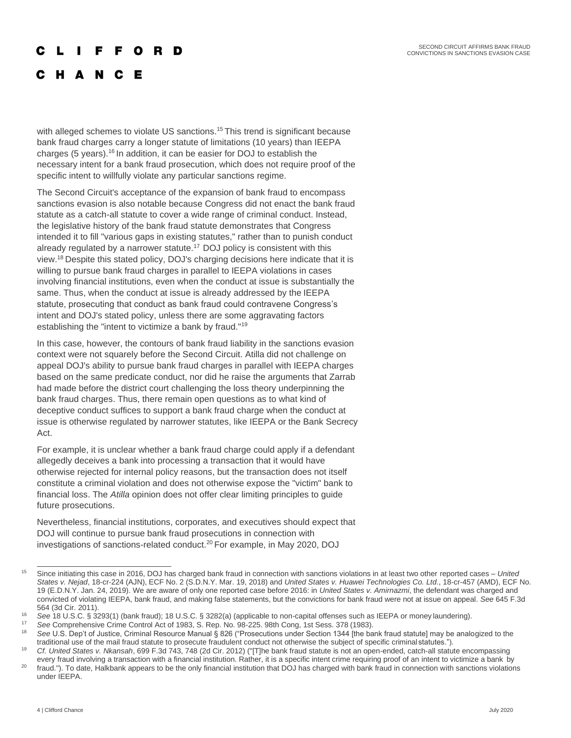SECOND CIRCUIT AFFIRMS BANK FRAUD CONVICTIONS IN SANCTIONS EVASION CASE

#### **FFORD The Contract of the Contract of the Contract of the Contract of the Contract of the Contract of the Contract of the Contract of the Contract of the Contract of the Contract of the Contract of the Contract of the Contract**

H A N C Е

with alleged schemes to violate US sanctions.<sup>15</sup> This trend is significant because bank fraud charges carry a longer statute of limitations (10 years) than IEEPA charges (5 years).<sup>16</sup> In addition, it can be easier for DOJ to establish the necessary intent for a bank fraud prosecution, which does not require proof of the specific intent to willfully violate any particular sanctions regime.

The Second Circuit's acceptance of the expansion of bank fraud to encompass sanctions evasion is also notable because Congress did not enact the bank fraud statute as a catch-all statute to cover a wide range of criminal conduct. Instead, the legislative history of the bank fraud statute demonstrates that Congress intended it to fill "various gaps in existing statutes," rather than to punish conduct already regulated by a narrower statute.<sup>17</sup> DOJ policy is consistent with this view.<sup>18</sup>Despite this stated policy, DOJ's charging decisions here indicate that it is willing to pursue bank fraud charges in parallel to IEEPA violations in cases involving financial institutions, even when the conduct at issue is substantially the same. Thus, when the conduct at issue is already addressed by the IEEPA statute, prosecuting that conduct as bank fraud could contravene Congress's intent and DOJ's stated policy, unless there are some aggravating factors establishing the "intent to victimize a bank by fraud."<sup>19</sup>

In this case, however, the contours of bank fraud liability in the sanctions evasion context were not squarely before the Second Circuit. Atilla did not challenge on appeal DOJ's ability to pursue bank fraud charges in parallel with IEEPA charges based on the same predicate conduct, nor did he raise the arguments that Zarrab had made before the district court challenging the loss theory underpinning the bank fraud charges. Thus, there remain open questions as to what kind of deceptive conduct suffices to support a bank fraud charge when the conduct at issue is otherwise regulated by narrower statutes, like IEEPA or the Bank Secrecy Act.

For example, it is unclear whether a bank fraud charge could apply if a defendant allegedly deceives a bank into processing a transaction that it would have otherwise rejected for internal policy reasons, but the transaction does not itself constitute a criminal violation and does not otherwise expose the "victim" bank to financial loss. The *Atilla* opinion does not offer clear limiting principles to guide future prosecutions.

Nevertheless, financial institutions, corporates, and executives should expect that DOJ will continue to pursue bank fraud prosecutions in connection with investigations of sanctions-related conduct.<sup>20</sup> For example, in May 2020, DOJ

<sup>15</sup> Since initiating this case in 2016, DOJ has charged bank fraud in connection with sanctions violations in at least two other reported cases – *United States v. Nejad*, 18-cr-224 (AJN), ECF No. 2 (S.D.N.Y. Mar. 19, 2018) and *United States v. Huawei Technologies Co. Ltd*., 18-cr-457 (AMD), ECF No. 19 (E.D.N.Y. Jan. 24, 2019). We are aware of only one reported case before 2016: in *United States v. Amirnazmi*, the defendant was charged and convicted of violating IEEPA, bank fraud, and making false statements, but the convictions for bank fraud were not at issue on appeal. *See* 645 F.3d 564 (3d Cir. 2011).

<sup>16</sup> *See* 18 U.S.C. § 3293(1) (bank fraud); 18 U.S.C. § 3282(a) (applicable to non-capital offenses such as IEEPA or money laundering).

<sup>17</sup> *See* Comprehensive Crime Control Act of 1983, S. Rep. No. 98-225. 98th Cong, 1st Sess. 378 (1983).

See U.S. Dep't of Justice, Criminal Resource Manual § 826 ("Prosecutions under Section 1344 [the bank fraud statute] may be analogized to the traditional use of the mail fraud statute to prosecute fraudulent conduct not otherwise the subject of specific criminalstatutes.").

<sup>19</sup> *Cf. United States v. Nkansah*, 699 F.3d 743, 748 (2d Cir. 2012) ("[T]he bank fraud statute is not an open-ended, catch-all statute encompassing every fraud involving a transaction with a financial institution. Rather, it is a specific intent crime requiring proof of an intent to victimize a bank by

<sup>&</sup>lt;sup>20</sup> fraud."). To date, Halkbank appears to be the only financial institution that DOJ has charged with bank fraud in connection with sanctions violations under IEEPA.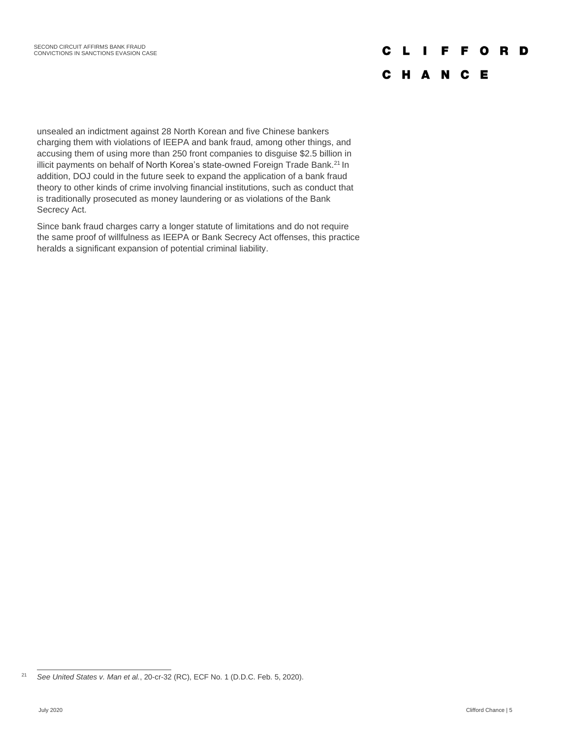# **CLIFFORD**

## **CHANCE**

unsealed an indictment against 28 North Korean and five Chinese bankers charging them with violations of IEEPA and bank fraud, among other things, and accusing them of using more than 250 front companies to disguise \$2.5 billion in illicit payments on behalf of North Korea's state-owned Foreign Trade Bank.<sup>21</sup> In addition, DOJ could in the future seek to expand the application of a bank fraud theory to other kinds of crime involving financial institutions, such as conduct that is traditionally prosecuted as money laundering or as violations of the Bank Secrecy Act.

Since bank fraud charges carry a longer statute of limitations and do not require the same proof of willfulness as IEEPA or Bank Secrecy Act offenses, this practice heralds a significant expansion of potential criminal liability.

<sup>21</sup> *See United States v. Man et al.*, 20-cr-32 (RC), ECF No. 1 (D.D.C. Feb. 5, 2020).